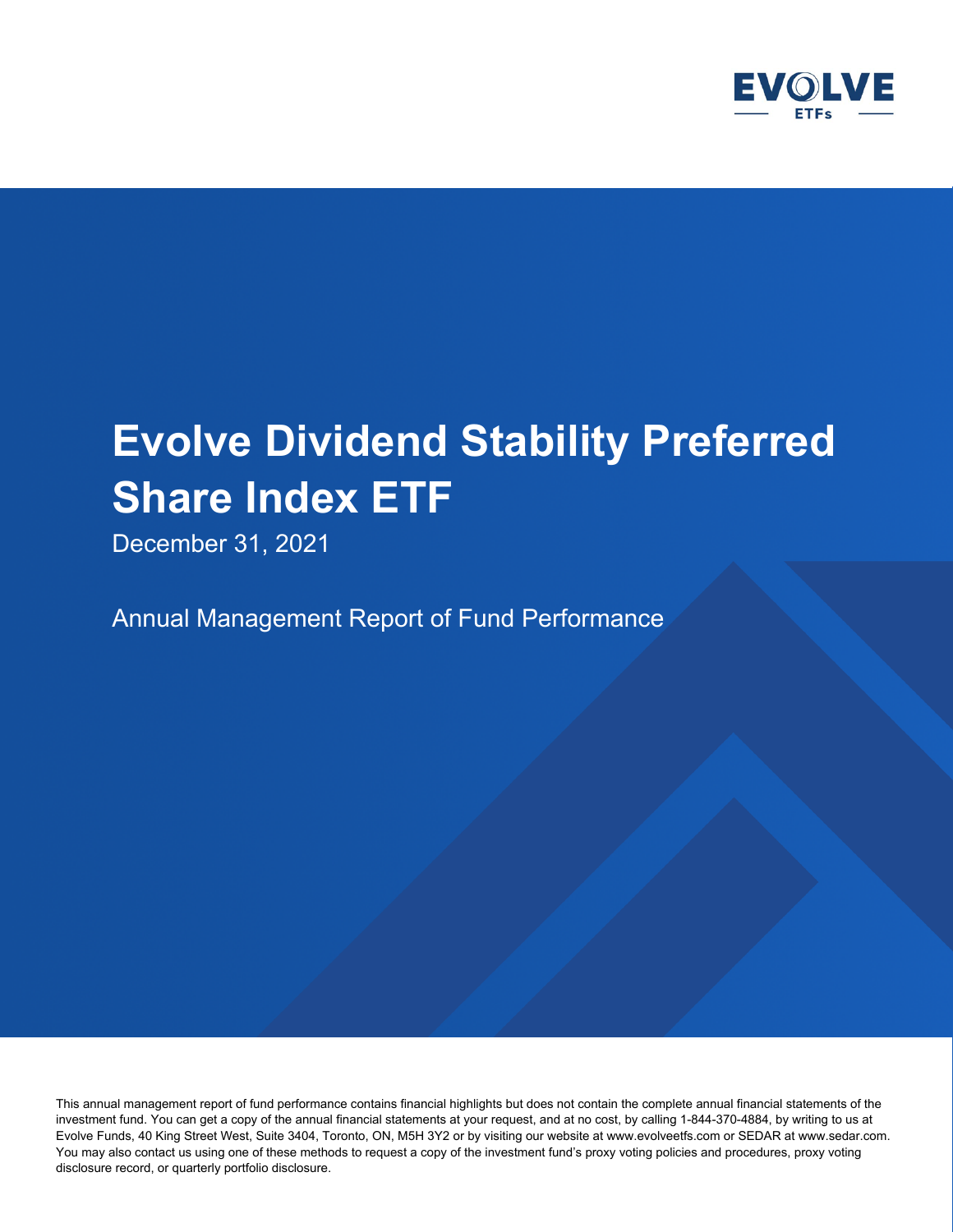

December 31, 2021

Annual Management Report of Fund Performance

This annual management report of fund performance contains financial highlights but does not contain the complete annual financial statements of the investment fund. You can get a copy of the annual financial statements at your request, and at no cost, by calling 1-844-370-4884, by writing to us at Evolve Funds, 40 King Street West, Suite 3404, Toronto, ON, M5H 3Y2 or by visiting our website at www.evolveetfs.com or SEDAR at www.sedar.com. You may also contact us using one of these methods to request a copy of the investment fund's proxy voting policies and procedures, proxy voting disclosure record, or quarterly portfolio disclosure.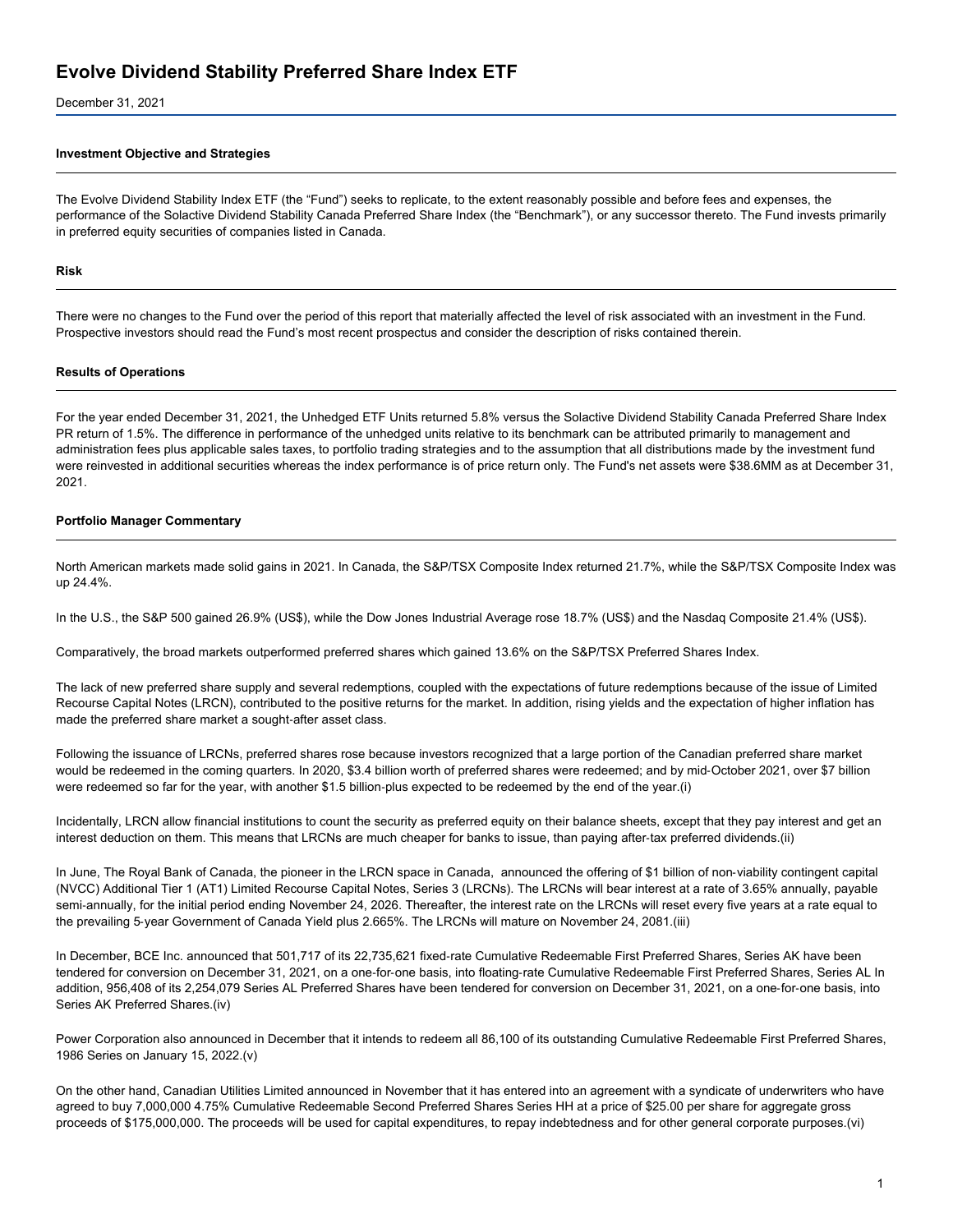December 31, 2021

#### **Investment Objective and Strategies**

The Evolve Dividend Stability Index ETF (the "Fund") seeks to replicate, to the extent reasonably possible and before fees and expenses, the performance of the Solactive Dividend Stability Canada Preferred Share Index (the "Benchmark"), or any successor thereto. The Fund invests primarily in preferred equity securities of companies listed in Canada.

#### **Risk**

There were no changes to the Fund over the period of this report that materially affected the level of risk associated with an investment in the Fund. Prospective investors should read the Fund's most recent prospectus and consider the description of risks contained therein.

#### **Results of Operations**

For the year ended December 31, 2021, the Unhedged ETF Units returned 5.8% versus the Solactive Dividend Stability Canada Preferred Share Index PR return of 1.5%. The difference in performance of the unhedged units relative to its benchmark can be attributed primarily to management and administration fees plus applicable sales taxes, to portfolio trading strategies and to the assumption that all distributions made by the investment fund were reinvested in additional securities whereas the index performance is of price return only. The Fund's net assets were \$38.6MM as at December 31, 2021.

#### **Portfolio Manager Commentary**

North American markets made solid gains in 2021. In Canada, the S&P/TSX Composite Index returned 21.7%, while the S&P/TSX Composite Index was up 24.4%.

In the U.S., the S&P 500 gained 26.9% (US\$), while the Dow Jones Industrial Average rose 18.7% (US\$) and the Nasdaq Composite 21.4% (US\$).

Comparatively, the broad markets outperformed preferred shares which gained 13.6% on the S&P/TSX Preferred Shares Index.

The lack of new preferred share supply and several redemptions, coupled with the expectations of future redemptions because of the issue of Limited Recourse Capital Notes (LRCN), contributed to the positive returns for the market. In addition, rising yields and the expectation of higher inflation has made the preferred share market a sought-after asset class.

Following the issuance of LRCNs, preferred shares rose because investors recognized that a large portion of the Canadian preferred share market would be redeemed in the coming quarters. In 2020, \$3.4 billion worth of preferred shares were redeemed; and by mid-October 2021, over \$7 billion were redeemed so far for the year, with another \$1.5 billion‑plus expected to be redeemed by the end of the year.(i)

Incidentally, LRCN allow financial institutions to count the security as preferred equity on their balance sheets, except that they pay interest and get an interest deduction on them. This means that LRCNs are much cheaper for banks to issue, than paying after-tax preferred dividends.(ii)

In June, The Royal Bank of Canada, the pioneer in the LRCN space in Canada, announced the offering of \$1 billion of non‑viability contingent capital (NVCC) Additional Tier 1 (AT1) Limited Recourse Capital Notes, Series 3 (LRCNs). The LRCNs will bear interest at a rate of 3.65% annually, payable semi-annually, for the initial period ending November 24, 2026. Thereafter, the interest rate on the LRCNs will reset every five years at a rate equal to the prevailing 5‑year Government of Canada Yield plus 2.665%. The LRCNs will mature on November 24, 2081.(iii)

In December, BCE Inc. announced that 501,717 of its 22,735,621 fixed-rate Cumulative Redeemable First Preferred Shares, Series AK have been tendered for conversion on December 31, 2021, on a one-for-one basis, into floating-rate Cumulative Redeemable First Preferred Shares, Series AL In addition, 956,408 of its 2,254,079 Series AL Preferred Shares have been tendered for conversion on December 31, 2021, on a one-for-one basis, into Series AK Preferred Shares.(iv)

Power Corporation also announced in December that it intends to redeem all 86,100 of its outstanding Cumulative Redeemable First Preferred Shares, 1986 Series on January 15, 2022.(v)

On the other hand, Canadian Utilities Limited announced in November that it has entered into an agreement with a syndicate of underwriters who have agreed to buy 7,000,000 4.75% Cumulative Redeemable Second Preferred Shares Series HH at a price of \$25.00 per share for aggregate gross proceeds of \$175,000,000. The proceeds will be used for capital expenditures, to repay indebtedness and for other general corporate purposes.(vi)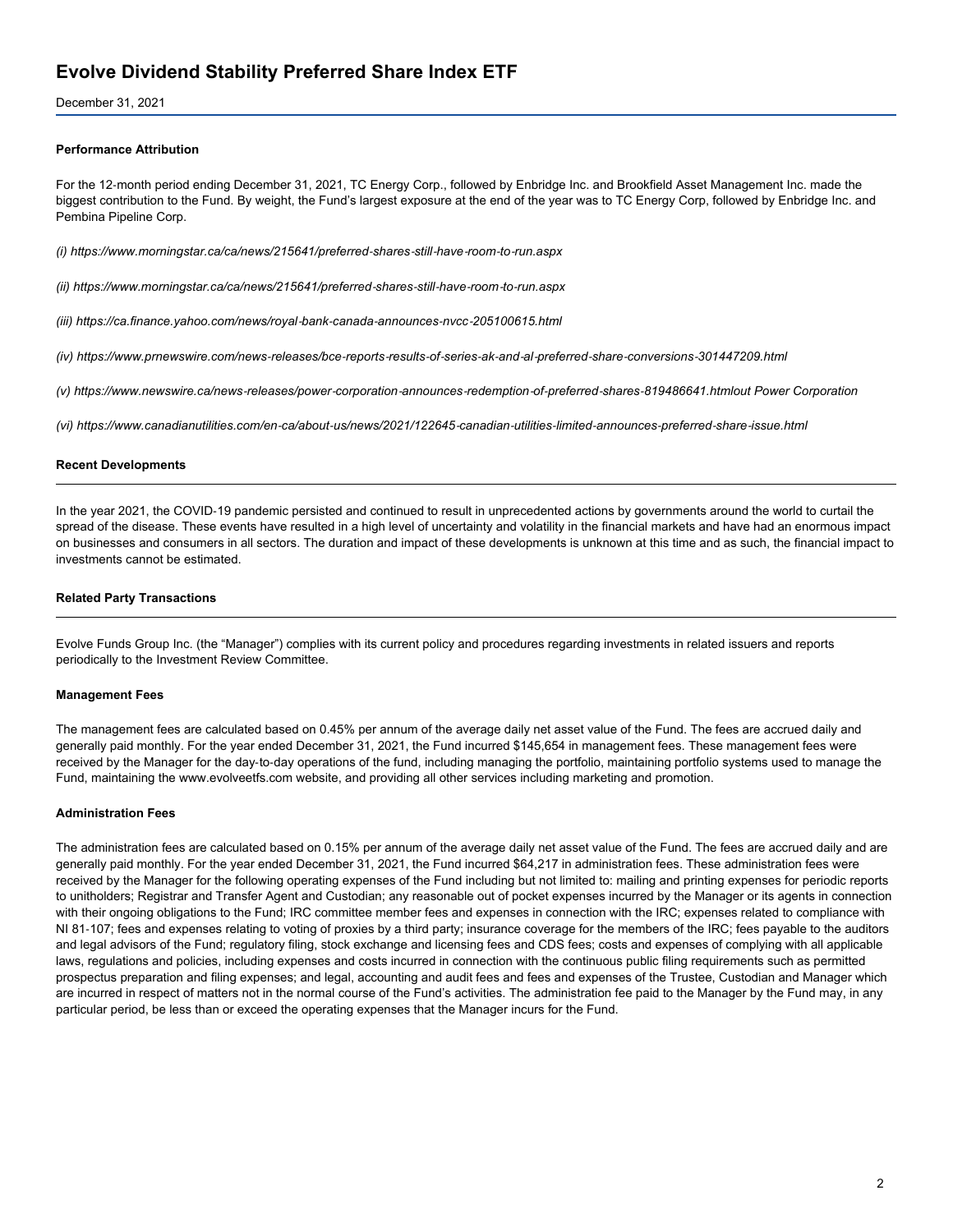December 31, 2021

#### **Performance Attribution**

For the 12‑month period ending December 31, 2021, TC Energy Corp., followed by Enbridge Inc. and Brookfield Asset Management Inc. made the biggest contribution to the Fund. By weight, the Fund's largest exposure at the end of the year was to TC Energy Corp, followed by Enbridge Inc. and Pembina Pipeline Corp.

*(i) https://www.morningstar.ca/ca/news/215641/preferred‑shares‑still‑have‑room‑to‑run.aspx*

*(ii) https://www.morningstar.ca/ca/news/215641/preferred‑shares‑still‑have‑room‑to‑run.aspx*

*(iii) https://ca.finance.yahoo.com/news/royal‑bank‑canada‑announces‑nvcc‑205100615.html*

(iv) https://www.prnewswire.com/news-releases/bce-reports-results-of-series-ak-and-al-preferred-share-conversions-301447209.html

(v) https://www.newswire.ca/news-releases/power-corporation-announces-redemption-of-preferred-shares-819486641.htmlout Power Corporation

(vi) https://www.canadianutilities.com/en-ca/about-us/news/2021/122645-canadian-utilities-limited-announces-preferred-share-issue.html

#### **Recent Developments**

In the year 2021, the COVID-19 pandemic persisted and continued to result in unprecedented actions by governments around the world to curtail the spread of the disease. These events have resulted in a high level of uncertainty and volatility in the financial markets and have had an enormous impact on businesses and consumers in all sectors. The duration and impact of these developments is unknown at this time and as such, the financial impact to investments cannot be estimated.

#### **Related Party Transactions**

Evolve Funds Group Inc. (the "Manager") complies with its current policy and procedures regarding investments in related issuers and reports periodically to the Investment Review Committee.

#### **Management Fees**

The management fees are calculated based on 0.45% per annum of the average daily net asset value of the Fund. The fees are accrued daily and generally paid monthly. For the year ended December 31, 2021, the Fund incurred \$145,654 in management fees. These management fees were received by the Manager for the day-to-day operations of the fund, including managing the portfolio, maintaining portfolio systems used to manage the Fund, maintaining the www.evolveetfs.com website, and providing all other services including marketing and promotion.

#### **Administration Fees**

The administration fees are calculated based on 0.15% per annum of the average daily net asset value of the Fund. The fees are accrued daily and are generally paid monthly. For the year ended December 31, 2021, the Fund incurred \$64,217 in administration fees. These administration fees were received by the Manager for the following operating expenses of the Fund including but not limited to: mailing and printing expenses for periodic reports to unitholders; Registrar and Transfer Agent and Custodian; any reasonable out of pocket expenses incurred by the Manager or its agents in connection with their ongoing obligations to the Fund; IRC committee member fees and expenses in connection with the IRC; expenses related to compliance with NI 81-107; fees and expenses relating to voting of proxies by a third party; insurance coverage for the members of the IRC; fees payable to the auditors and legal advisors of the Fund; regulatory filing, stock exchange and licensing fees and CDS fees; costs and expenses of complying with all applicable laws, regulations and policies, including expenses and costs incurred in connection with the continuous public filing requirements such as permitted prospectus preparation and filing expenses; and legal, accounting and audit fees and fees and expenses of the Trustee, Custodian and Manager which are incurred in respect of matters not in the normal course of the Fund's activities. The administration fee paid to the Manager by the Fund may, in any particular period, be less than or exceed the operating expenses that the Manager incurs for the Fund.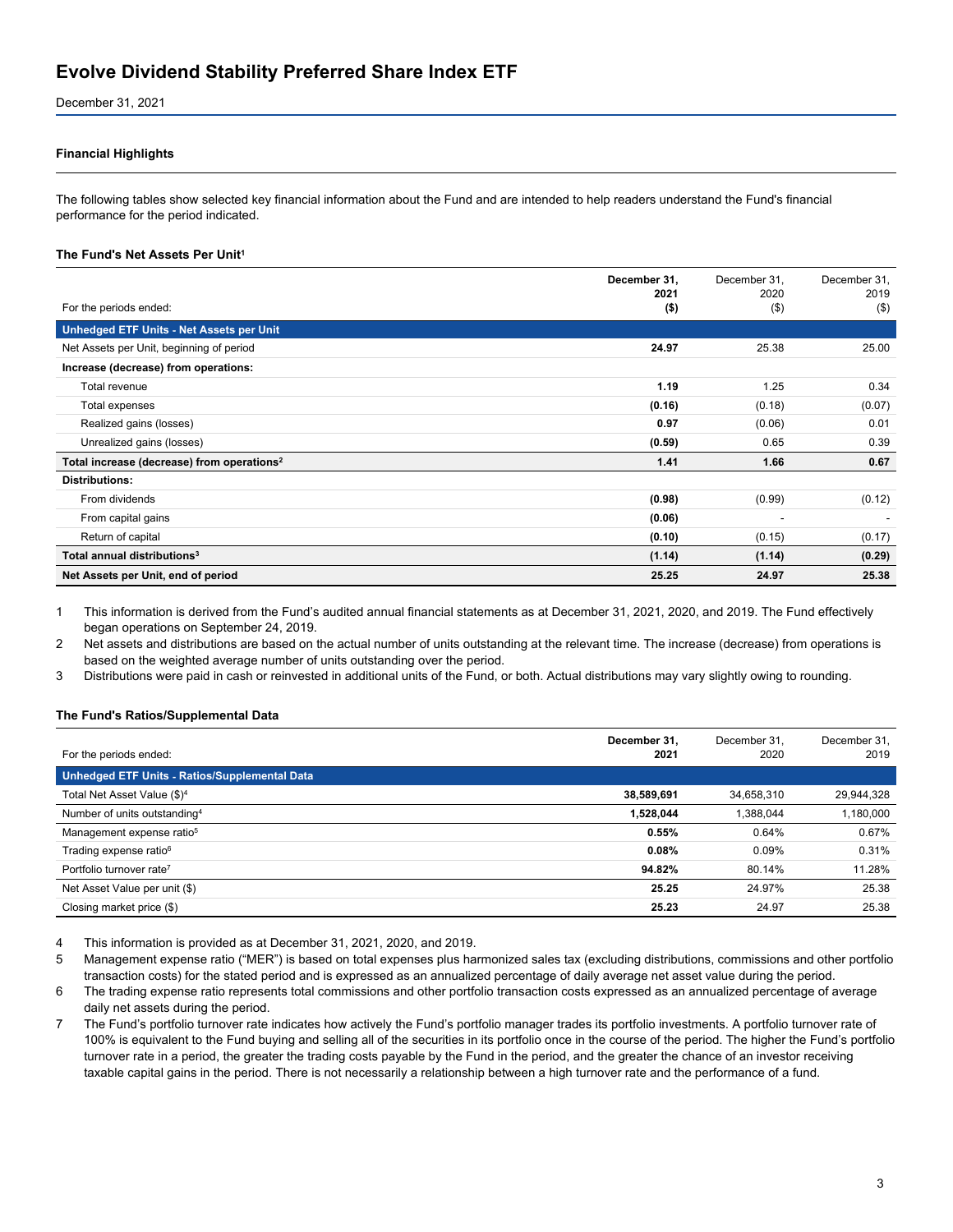December 31, 2021

#### **Financial Highlights**

The following tables show selected key financial information about the Fund and are intended to help readers understand the Fund's financial performance for the period indicated.

#### **The Fund's Net Assets Per Unit<sup>1</sup>**

|                                                        | December 31,<br>2021 | December 31,<br>2020     | December 31,<br>2019 |
|--------------------------------------------------------|----------------------|--------------------------|----------------------|
| For the periods ended:                                 | $($ \$)              | $($ \$)                  | $($ \$)              |
| Unhedged ETF Units - Net Assets per Unit               |                      |                          |                      |
| Net Assets per Unit, beginning of period               | 24.97                | 25.38                    | 25.00                |
| Increase (decrease) from operations:                   |                      |                          |                      |
| Total revenue                                          | 1.19                 | 1.25                     | 0.34                 |
| Total expenses                                         | (0.16)               | (0.18)                   | (0.07)               |
| Realized gains (losses)                                | 0.97                 | (0.06)                   | 0.01                 |
| Unrealized gains (losses)                              | (0.59)               | 0.65                     | 0.39                 |
| Total increase (decrease) from operations <sup>2</sup> | 1.41                 | 1.66                     | 0.67                 |
| <b>Distributions:</b>                                  |                      |                          |                      |
| From dividends                                         | (0.98)               | (0.99)                   | (0.12)               |
| From capital gains                                     | (0.06)               | $\overline{\phantom{a}}$ |                      |
| Return of capital                                      | (0.10)               | (0.15)                   | (0.17)               |
| Total annual distributions <sup>3</sup>                | (1.14)               | (1.14)                   | (0.29)               |
| Net Assets per Unit, end of period                     | 25.25                | 24.97                    | 25.38                |

1 This information is derived from the Fund's audited annual financial statements as at December 31, 2021, 2020, and 2019. The Fund effectively began operations on September 24, 2019.

2 Net assets and distributions are based on the actual number of units outstanding at the relevant time. The increase (decrease) from operations is based on the weighted average number of units outstanding over the period.

3 Distributions were paid in cash or reinvested in additional units of the Fund, or both. Actual distributions may vary slightly owing to rounding.

#### **The Fund's Ratios/Supplemental Data**

|                                                      | December 31, | December 31. | December 31. |
|------------------------------------------------------|--------------|--------------|--------------|
| For the periods ended:                               | 2021         | 2020         | 2019         |
| <b>Unhedged ETF Units - Ratios/Supplemental Data</b> |              |              |              |
| Total Net Asset Value (\$) <sup>4</sup>              | 38,589,691   | 34,658,310   | 29,944,328   |
| Number of units outstanding <sup>4</sup>             | 1,528,044    | 1.388.044    | 1,180,000    |
| Management expense ratio <sup>5</sup>                | 0.55%        | 0.64%        | 0.67%        |
| Trading expense ratio <sup>6</sup>                   | 0.08%        | 0.09%        | 0.31%        |
| Portfolio turnover rate <sup>7</sup>                 | 94.82%       | 80.14%       | 11.28%       |
| Net Asset Value per unit (\$)                        | 25.25        | 24.97%       | 25.38        |
| Closing market price (\$)                            | 25.23        | 24.97        | 25.38        |

4 This information is provided as at December 31, 2021, 2020, and 2019.

5 Management expense ratio ("MER") is based on total expenses plus harmonized sales tax (excluding distributions, commissions and other portfolio transaction costs) for the stated period and is expressed as an annualized percentage of daily average net asset value during the period.

6 The trading expense ratio represents total commissions and other portfolio transaction costs expressed as an annualized percentage of average daily net assets during the period.

7 The Fund's portfolio turnover rate indicates how actively the Fund's portfolio manager trades its portfolio investments. A portfolio turnover rate of 100% is equivalent to the Fund buying and selling all of the securities in its portfolio once in the course of the period. The higher the Fund's portfolio turnover rate in a period, the greater the trading costs payable by the Fund in the period, and the greater the chance of an investor receiving taxable capital gains in the period. There is not necessarily a relationship between a high turnover rate and the performance of a fund.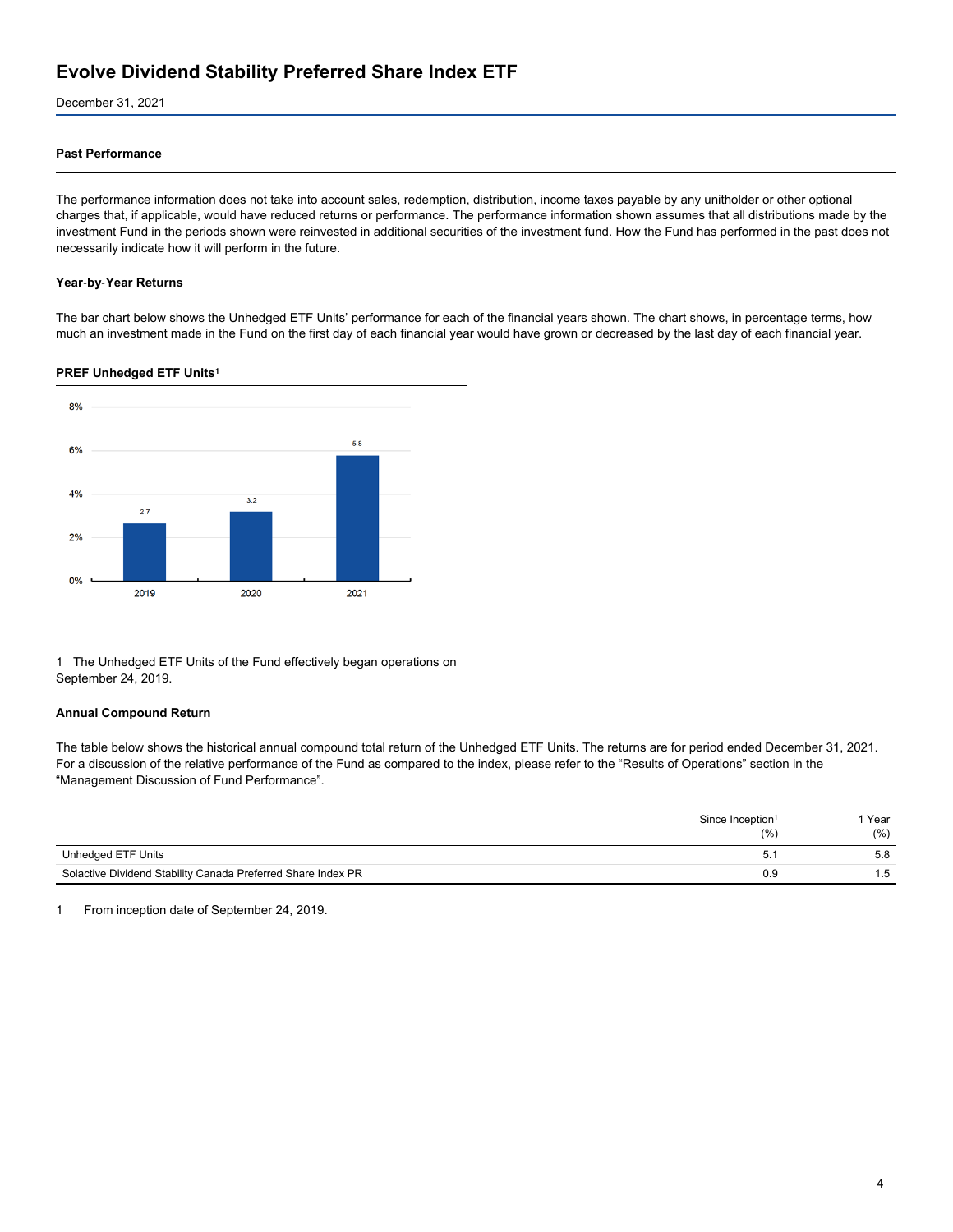December 31, 2021

### **Past Performance**

The performance information does not take into account sales, redemption, distribution, income taxes payable by any unitholder or other optional charges that, if applicable, would have reduced returns or performance. The performance information shown assumes that all distributions made by the investment Fund in the periods shown were reinvested in additional securities of the investment fund. How the Fund has performed in the past does not necessarily indicate how it will perform in the future.

#### **Year**‑**by**‑**Year Returns**

The bar chart below shows the Unhedged ETF Units' performance for each of the financial years shown. The chart shows, in percentage terms, how much an investment made in the Fund on the first day of each financial year would have grown or decreased by the last day of each financial year.

#### **PREF Unhedged ETF Units<sup>1</sup>**



1 The Unhedged ETF Units of the Fund effectively began operations on September 24, 2019.

#### **Annual Compound Return**

The table below shows the historical annual compound total return of the Unhedged ETF Units. The returns are for period ended December 31, 2021. For a discussion of the relative performance of the Fund as compared to the index, please refer to the "Results of Operations" section in the "Management Discussion of Fund Performance".

|                                                              | Since Inception <sup>1</sup><br>(%) | Year<br>(%) |
|--------------------------------------------------------------|-------------------------------------|-------------|
| Unhedged ETF Units                                           | 5.                                  | 5.8         |
| Solactive Dividend Stability Canada Preferred Share Index PR | 0.9                                 | 1.5         |

1 From inception date of September 24, 2019.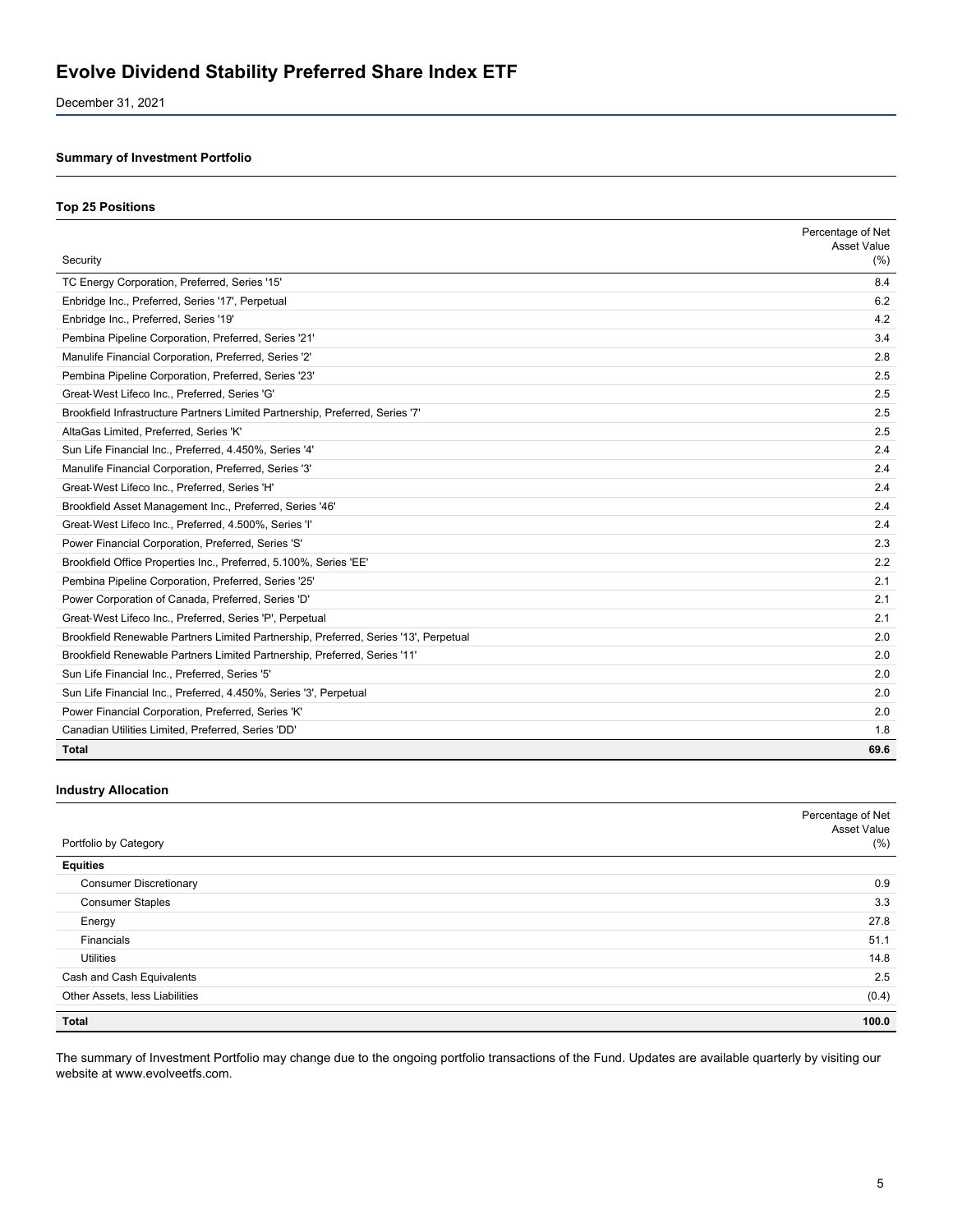December 31, 2021

## **Summary of Investment Portfolio**

#### **Top 25 Positions**

|                                                                                      | Percentage of Net<br>Asset Value |
|--------------------------------------------------------------------------------------|----------------------------------|
| Security                                                                             | (% )                             |
| TC Energy Corporation, Preferred, Series '15'                                        | 8.4                              |
| Enbridge Inc., Preferred, Series '17', Perpetual                                     | 6.2                              |
| Enbridge Inc., Preferred, Series '19'                                                | 4.2                              |
| Pembina Pipeline Corporation, Preferred, Series '21'                                 | 3.4                              |
| Manulife Financial Corporation, Preferred, Series '2'                                | 2.8                              |
| Pembina Pipeline Corporation, Preferred, Series '23'                                 | 2.5                              |
| Great-West Lifeco Inc., Preferred, Series 'G'                                        | 2.5                              |
| Brookfield Infrastructure Partners Limited Partnership, Preferred, Series '7'        | 2.5                              |
| AltaGas Limited, Preferred, Series 'K'                                               | 2.5                              |
| Sun Life Financial Inc., Preferred, 4.450%, Series '4'                               | 2.4                              |
| Manulife Financial Corporation, Preferred, Series '3'                                | 2.4                              |
| Great-West Lifeco Inc., Preferred, Series 'H'                                        | 2.4                              |
| Brookfield Asset Management Inc., Preferred, Series '46'                             | 2.4                              |
| Great-West Lifeco Inc., Preferred, 4.500%, Series 'l'                                | 2.4                              |
| Power Financial Corporation, Preferred, Series 'S'                                   | 2.3                              |
| Brookfield Office Properties Inc., Preferred, 5.100%, Series 'EE'                    | 2.2                              |
| Pembina Pipeline Corporation, Preferred, Series '25'                                 | 2.1                              |
| Power Corporation of Canada, Preferred, Series 'D'                                   | 2.1                              |
| Great-West Lifeco Inc., Preferred, Series 'P', Perpetual                             | 2.1                              |
| Brookfield Renewable Partners Limited Partnership, Preferred, Series '13', Perpetual | 2.0                              |
| Brookfield Renewable Partners Limited Partnership, Preferred, Series '11'            | 2.0                              |
| Sun Life Financial Inc., Preferred, Series '5'                                       | 2.0                              |
| Sun Life Financial Inc., Preferred, 4.450%, Series '3', Perpetual                    | 2.0                              |
| Power Financial Corporation, Preferred, Series 'K'                                   | 2.0                              |
| Canadian Utilities Limited, Preferred, Series 'DD'                                   | 1.8                              |
| <b>Total</b>                                                                         | 69.6                             |

## **Industry Allocation**

| Portfolio by Category          | Percentage of Net<br>Asset Value<br>(%) |
|--------------------------------|-----------------------------------------|
| <b>Equities</b>                |                                         |
| <b>Consumer Discretionary</b>  | 0.9                                     |
| <b>Consumer Staples</b>        | 3.3                                     |
| Energy                         | 27.8                                    |
| Financials                     | 51.1                                    |
| <b>Utilities</b>               | 14.8                                    |
| Cash and Cash Equivalents      | 2.5                                     |
| Other Assets, less Liabilities | (0.4)                                   |
| <b>Total</b>                   | 100.0                                   |

The summary of Investment Portfolio may change due to the ongoing portfolio transactions of the Fund. Updates are available quarterly by visiting our website at www.evolveetfs.com.